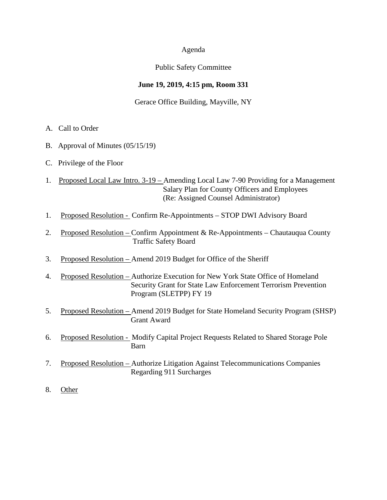#### Agenda

#### Public Safety Committee

#### **June 19, 2019, 4:15 pm, Room 331**

#### Gerace Office Building, Mayville, NY

- A. Call to Order
- B. Approval of Minutes (05/15/19)
- C. Privilege of the Floor
- 1. Proposed Local Law Intro. 3-19 Amending Local Law 7-90 Providing for a Management Salary Plan for County Officers and Employees (Re: Assigned Counsel Administrator)
- 1. Proposed Resolution Confirm Re-Appointments STOP DWI Advisory Board
- 2. Proposed Resolution Confirm Appointment & Re-Appointments Chautauqua County Traffic Safety Board
- 3. Proposed Resolution Amend 2019 Budget for Office of the Sheriff
- 4. Proposed Resolution Authorize Execution for New York State Office of Homeland Security Grant for State Law Enforcement Terrorism Prevention Program (SLETPP) FY 19
- 5. Proposed Resolution Amend 2019 Budget for State Homeland Security Program (SHSP) Grant Award
- 6. Proposed Resolution Modify Capital Project Requests Related to Shared Storage Pole Barn
- 7. Proposed Resolution Authorize Litigation Against Telecommunications Companies Regarding 911 Surcharges
- 8. Other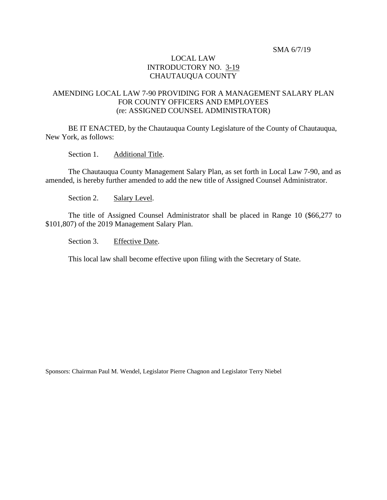#### SMA 6/7/19

#### LOCAL LAW INTRODUCTORY NO. 3-19 CHAUTAUQUA COUNTY

#### AMENDING LOCAL LAW 7-90 PROVIDING FOR A MANAGEMENT SALARY PLAN FOR COUNTY OFFICERS AND EMPLOYEES (re: ASSIGNED COUNSEL ADMINISTRATOR)

BE IT ENACTED, by the Chautauqua County Legislature of the County of Chautauqua, New York, as follows:

Section 1. Additional Title.

The Chautauqua County Management Salary Plan, as set forth in Local Law 7-90, and as amended, is hereby further amended to add the new title of Assigned Counsel Administrator.

Section 2. Salary Level.

The title of Assigned Counsel Administrator shall be placed in Range 10 (\$66,277 to \$101,807) of the 2019 Management Salary Plan.

Section 3. Effective Date.

This local law shall become effective upon filing with the Secretary of State.

Sponsors: Chairman Paul M. Wendel, Legislator Pierre Chagnon and Legislator Terry Niebel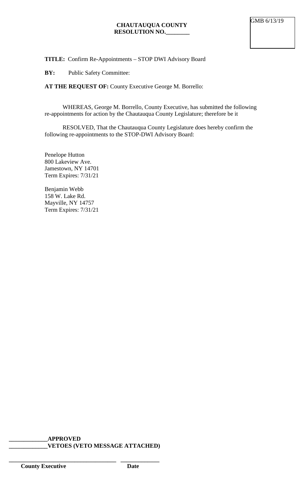### **TITLE:** Confirm Re-Appointments – STOP DWI Advisory Board

**BY:** Public Safety Committee:

**AT THE REQUEST OF:** County Executive George M. Borrello:

WHEREAS, George M. Borrello, County Executive, has submitted the following re-appointments for action by the Chautauqua County Legislature; therefore be it

RESOLVED, That the Chautauqua County Legislature does hereby confirm the following re-appointments to the STOP-DWI Advisory Board:

Penelope Hutton 800 Lakeview Ave. Jamestown, NY 14701 Term Expires: 7/31/21

Benjamin Webb 158 W. Lake Rd. Mayville, NY 14757 Term Expires: 7/31/21

**\_\_\_\_\_\_\_\_\_\_\_\_\_APPROVED \_\_\_\_\_\_\_\_\_\_\_\_\_VETOES (VETO MESSAGE ATTACHED)**

**\_\_\_\_\_\_\_\_\_\_\_\_\_\_\_\_\_\_\_\_\_\_\_\_\_\_\_\_\_\_\_\_\_\_\_\_ \_\_\_\_\_\_\_\_\_\_\_\_\_**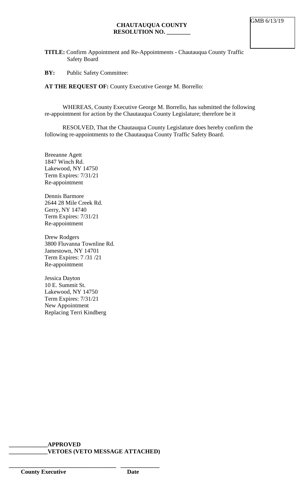**TITLE:** Confirm Appointment and Re-Appointments - Chautauqua County Traffic Safety Board

**BY:** Public Safety Committee:

**AT THE REQUEST OF:** County Executive George M. Borrello:

WHEREAS, County Executive George M. Borrello, has submitted the following re-appointment for action by the Chautauqua County Legislature; therefore be it

RESOLVED, That the Chautauqua County Legislature does hereby confirm the following re-appointments to the Chautauqua County Traffic Safety Board.

Breeanne Agett 1847 Winch Rd. Lakewood, NY 14750 Term Expires: 7/31/21 Re-appointment

Dennis Barmore 2644 28 Mile Creek Rd. Gerry, NY 14740 Term Expires: 7/31/21 Re-appointment

Drew Rodgers 3800 Fluvanna Townline Rd. Jamestown, NY 14701 Term Expires: 7 /31 /21 Re-appointment

Jessica Dayton 10 E. Summit St. Lakewood, NY 14750 Term Expires: 7/31/21 New Appointment Replacing Terri Kindberg

**\_\_\_\_\_\_\_\_\_\_\_\_\_APPROVED \_\_\_\_\_\_\_\_\_\_\_\_\_VETOES (VETO MESSAGE ATTACHED)**

**\_\_\_\_\_\_\_\_\_\_\_\_\_\_\_\_\_\_\_\_\_\_\_\_\_\_\_\_\_\_\_\_\_\_\_\_ \_\_\_\_\_\_\_\_\_\_\_\_\_**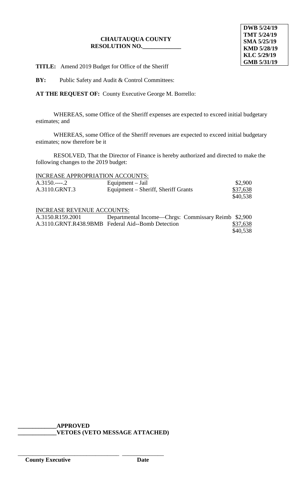#### **CHAUTAUQUA COUNTY RESOLUTION NO.\_\_\_\_\_\_\_\_\_\_\_\_\_**

**TITLE:** Amend 2019 Budget for Office of the Sheriff

**BY:** Public Safety and Audit & Control Committees:

**AT THE REQUEST OF:** County Executive George M. Borrello:

WHEREAS, some Office of the Sheriff expenses are expected to exceed initial budgetary estimates; and

WHEREAS, some Office of the Sheriff revenues are expected to exceed initial budgetary estimates; now therefore be it

RESOLVED, That the Director of Finance is hereby authorized and directed to make the following changes to the 2019 budget:

|               | INCREASE APPROPRIATION ACCOUNTS:    |          |
|---------------|-------------------------------------|----------|
| $A.3150$ 2    | Equipment $-$ Jail                  | \$2,900  |
| A.3110.GRNT.3 | Equipment – Sheriff, Sheriff Grants | \$37,638 |
|               |                                     | \$40,538 |

#### INCREASE REVENUE ACCOUNTS:

| A.3150.R159.2001 | Departmental Income—Chrgs: Commissary Reimb \$2,900 |          |
|------------------|-----------------------------------------------------|----------|
|                  | A.3110.GRNT.R438.9BMB Federal Aid--Bomb Detection   | \$37,638 |
|                  |                                                     | \$40,538 |

**\_\_\_\_\_\_\_\_\_\_\_\_\_APPROVED \_\_\_\_\_\_\_\_\_\_\_\_\_VETOES (VETO MESSAGE ATTACHED)**

\_\_\_\_\_\_\_\_\_\_\_\_\_\_\_\_\_\_\_\_\_\_\_\_\_\_\_\_\_\_\_\_\_\_ \_\_\_\_\_\_\_\_\_\_\_\_\_\_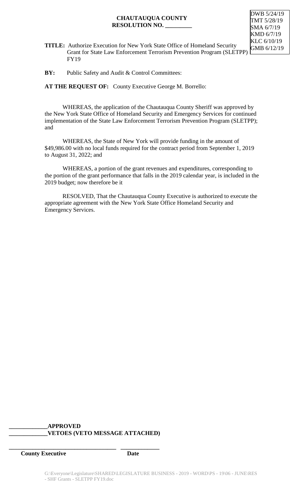#### **CHAUTAUQUA COUNTY RESOLUTION NO. \_\_\_\_\_\_\_\_\_**

DWB 5/24/19 TMT 5/28/19 SMA 6/7/19 KMD 6/7/19 KLC 6/10/19 GMB 6/12/19

**TITLE:** Authorize Execution for New York State Office of Homeland Security Grant for State Law Enforcement Terrorism Prevention Program (SLETPP) FY19

**BY:** Public Safety and Audit & Control Committees:

**AT THE REQUEST OF:** County Executive George M. Borrello:

WHEREAS, the application of the Chautauqua County Sheriff was approved by the New York State Office of Homeland Security and Emergency Services for continued implementation of the State Law Enforcement Terrorism Prevention Program (SLETPP); and

WHEREAS, the State of New York will provide funding in the amount of \$49,986.00 with no local funds required for the contract period from September 1, 2019 to August 31, 2022; and

WHEREAS, a portion of the grant revenues and expenditures, corresponding to the portion of the grant performance that falls in the 2019 calendar year, is included in the 2019 budget; now therefore be it

RESOLVED, That the Chautauqua County Executive is authorized to execute the appropriate agreement with the New York State Office Homeland Security and Emergency Services.

#### **\_\_\_\_\_\_\_\_\_\_\_\_\_APPROVED \_\_\_\_\_\_\_\_\_\_\_\_\_VETOES (VETO MESSAGE ATTACHED)**

**\_\_\_\_\_\_\_\_\_\_\_\_\_\_\_\_\_\_\_\_\_\_\_\_\_\_\_\_\_\_\_\_\_\_\_\_ \_\_\_\_\_\_\_\_\_\_\_\_\_**

**County Executive Date**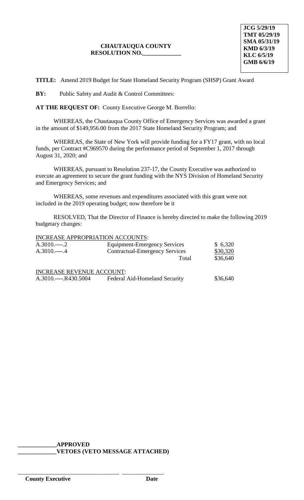### **CHAUTAUQUA COUNTY RESOLUTION NO.\_\_\_\_\_\_\_\_\_\_\_\_\_**

**TITLE:** Amend 2019 Budget for State Homeland Security Program (SHSP) Grant Award

**BY:** Public Safety and Audit & Control Committees:

**AT THE REQUEST OF:** County Executive George M. Borrello:

WHEREAS, the Chautauqua County Office of Emergency Services was awarded a grant in the amount of \$149,956.00 from the 2017 State Homeland Security Program; and

WHEREAS, the State of New York will provide funding for a FY17 grant, with no local funds, per Contract #C969570 during the performance period of September 1, 2017 through August 31, 2020; and

WHEREAS, pursuant to Resolution 237-17, the County Executive was authorized to execute an agreement to secure the grant funding with the NYS Division of Homeland Security and Emergency Services; and

WHEREAS, some revenues and expenditures associated with this grant were not included in the 2019 operating budget; now therefore be it

RESOLVED, That the Director of Finance is hereby directed to make the following 2019 budgetary changes:

INCREASE APPROPRIATION ACCOUNTS:

| $A.3010$ 2                       | <b>Equipment-Emergency Services</b>   | \$6,320  |
|----------------------------------|---------------------------------------|----------|
|                                  | <b>Contractual-Emergency Services</b> | \$30,320 |
|                                  | Total                                 | \$36,640 |
| <b>INCREASE REVENUE ACCOUNT:</b> |                                       |          |
| A.3010.----.R430.5004            | Federal Aid-Homeland Security         | \$36,640 |

**\_\_\_\_\_\_\_\_\_\_\_\_\_APPROVED \_\_\_\_\_\_\_\_\_\_\_\_\_VETOES (VETO MESSAGE ATTACHED)**

\_\_\_\_\_\_\_\_\_\_\_\_\_\_\_\_\_\_\_\_\_\_\_\_\_\_\_\_\_\_\_\_\_\_ \_\_\_\_\_\_\_\_\_\_\_\_\_\_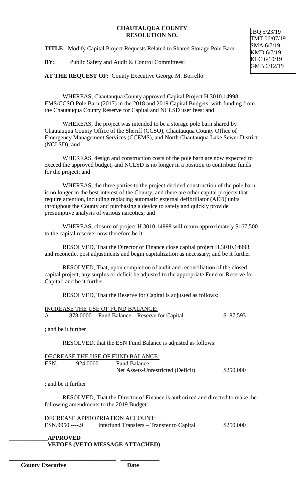#### **CHAUTAUQUA COUNTY RESOLUTION NO.**

**TITLE:** Modify Capital Project Requests Related to Shared Storage Pole Barn

**BY:** Public Safety and Audit & Control Committees:

**AT THE REQUEST OF:** County Executive George M. Borrello:

WHEREAS, Chautauqua County approved Capital Project H.3010.14998 – EMS/CCSO Pole Barn (2017) in the 2018 and 2019 Capital Budgets, with funding from the Chautauqua County Reserve for Capital and NCLSD user fees; and

WHEREAS, the project was intended to be a storage pole barn shared by Chautauqua County Office of the Sheriff (CCSO), Chautauqua County Office of Emergency Management Services (CCEMS), and North Chautauqua Lake Sewer District (NCLSD); and

WHEREAS, design and construction costs of the pole barn are now expected to exceed the approved budget, and NCLSD is no longer in a position to contribute funds for the project; and

WHEREAS, the three parties to the project decided construction of the pole barn is no longer in the best interest of the County, and there are other capital projects that require attention, including replacing automatic external defibrillator (AED) units throughout the County and purchasing a device to safely and quickly provide presumptive analysis of various narcotics; and

WHEREAS, closure of project H.3010.14998 will return approximately \$167,500 to the capital reserve; now therefore be it

RESOLVED, That the Director of Finance close capital project H.3010.14998, and reconcile, post adjustments and begin capitalization as necessary; and be it further

RESOLVED, That, upon completion of audit and reconciliation of the closed capital project, any surplus or deficit be adjusted to the appropriate Fund or Reserve for Capital; and be it further

RESOLVED, That the Reserve for Capital is adjusted as follows:

| INCREASE THE USE OF FUND BALANCE:                       |           |
|---------------------------------------------------------|-----------|
| A.----.----.878.0000 Fund Balance – Reserve for Capital | \$ 87,593 |

; and be it further

RESOLVED, that the ESN Fund Balance is adjusted as follows:

| DECREASE THE USE OF FUND BALANCE: |                                   |           |
|-----------------------------------|-----------------------------------|-----------|
| $ESN$ -----------.924.0000        | Fund Balance $-$                  |           |
|                                   | Net Assets-Unrestricted (Deficit) | \$250,000 |

; and be it further

RESOLVED, That the Director of Finance is authorized and directed to make the following amendments to the 2019 Budget:

DECREASE APPROPRIATION ACCOUNT: ESN.9950.----.9 Interfund Transfers – Transfer to Capital \$250,000

**\_\_\_\_\_\_\_\_\_\_\_\_\_APPROVED \_\_\_\_\_\_\_\_\_\_\_\_\_VETOES (VETO MESSAGE ATTACHED)**

**\_\_\_\_\_\_\_\_\_\_\_\_\_\_\_\_\_\_\_\_\_\_\_\_\_\_\_\_\_\_\_\_\_\_\_\_ \_\_\_\_\_\_\_\_\_\_\_\_\_**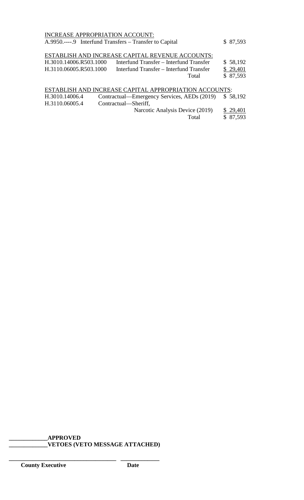#### INCREASE APPROPRIATION ACCOUNT:

| A.9950.----.9 Interfund Transfers – Transfer to Capital |                                                  | \$87,593 |
|---------------------------------------------------------|--------------------------------------------------|----------|
|                                                         | ESTABLISH AND INCREASE CAPITAL REVENUE ACCOUNTS: |          |
| H.3010.14006.R503.1000                                  | Interfund Transfer – Interfund Transfer          | \$58,192 |
| H.3110.06005.R503.1000                                  | Interfund Transfer – Interfund Transfer          | \$29,401 |

Total \$ 87,593

## ESTABLISH AND INCREASE CAPITAL APPROPRIATION ACCOUNTS: H.3010.14006.4 Contractual—Emergency Services, AEDs (2019) \$ 58,192 H.3110.06005.4 Contractual—Sheriff, Narcotic Analysis Device (2019)  $\frac{$29,401}{$87,593}$ \$ 87,593

# **\_\_\_\_\_\_\_\_\_\_\_\_\_APPROVED**

**\_\_\_\_\_\_\_\_\_\_\_\_\_\_\_\_\_\_\_\_\_\_\_\_\_\_\_\_\_\_\_\_\_\_\_\_ \_\_\_\_\_\_\_\_\_\_\_\_\_**

**\_\_\_\_\_\_\_\_\_\_\_\_\_VETOES (VETO MESSAGE ATTACHED)**